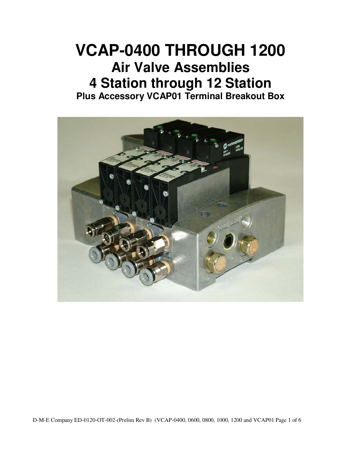## **VCAP-0400 THROUGH 1200 Air Valve Assemblies 4 Station through 12 Station Plus Accessory VCAP01 Terminal Breakout Box**

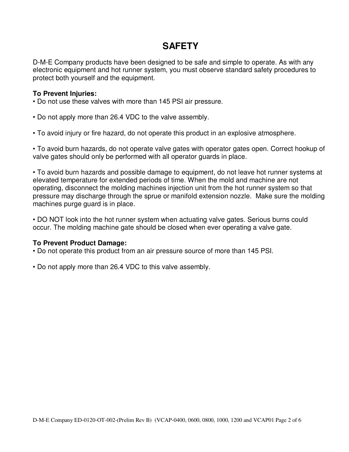## **SAFETY**

D-M-E Company products have been designed to be safe and simple to operate. As with any electronic equipment and hot runner system, you must observe standard safety procedures to protect both yourself and the equipment.

#### **To Prevent Injuries:**

- Do not use these valves with more than 145 PSI air pressure.
- Do not apply more than 26.4 VDC to the valve assembly.
- To avoid injury or fire hazard, do not operate this product in an explosive atmosphere.

• To avoid burn hazards, do not operate valve gates with operator gates open. Correct hookup of valve gates should only be performed with all operator guards in place.

• To avoid burn hazards and possible damage to equipment, do not leave hot runner systems at elevated temperature for extended periods of time. When the mold and machine are not operating, disconnect the molding machines injection unit from the hot runner system so that pressure may discharge through the sprue or manifold extension nozzle. Make sure the molding machines purge guard is in place.

• DO NOT look into the hot runner system when actuating valve gates. Serious burns could occur. The molding machine gate should be closed when ever operating a valve gate.

#### **To Prevent Product Damage:**

- Do not operate this product from an air pressure source of more than 145 PSI.
- Do not apply more than 26.4 VDC to this valve assembly.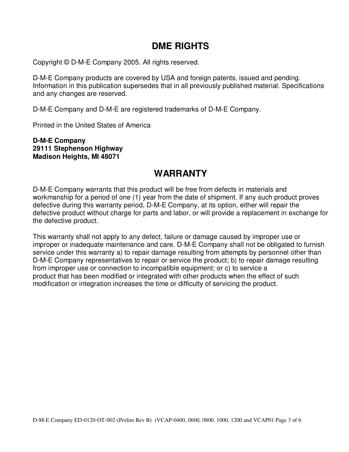### **DME RIGHTS**

Copyright © D-M-E Company 2005. All rights reserved.

D-M-E Company products are covered by USA and foreign patents, issued and pending. Information in this publication supersedes that in all previously published material. Specifications and any changes are reserved.

D-M-E Company and D-M-E are registered trademarks of D-M-E Company.

Printed in the United States of America

**D-M-E Company 29111 Stephenson Highway Madison Heights, MI 48071** 

## **WARRANTY**

D-M-E Company warrants that this product will be free from defects in materials and workmanship for a period of one (1) year from the date of shipment. If any such product proves defective during this warranty period, D-M-E Company, at its option, either will repair the defective product without charge for parts and labor, or will provide a replacement in exchange for the defective product.

This warranty shall not apply to any defect, failure or damage caused by improper use or improper or inadequate maintenance and care. D-M-E Company shall not be obligated to furnish service under this warranty a) to repair damage resulting from attempts by personnel other than D-M-E Company representatives to repair or service the product; b) to repair damage resulting from improper use or connection to incompatible equipment; or c) to service a product that has been modified or integrated with other products when the effect of such modification or integration increases the time or difficulty of servicing the product.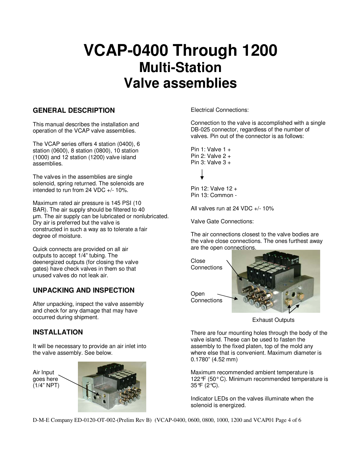# **VCAP-0400 Through 1200 Multi-Station Valve assemblies**

#### **GENERAL DESCRIPTION**

This manual describes the installation and operation of the VCAP valve assemblies.

The VCAP series offers 4 station (0400), 6 station (0600), 8 station (0800), 10 station (1000) and 12 station (1200) valve island assemblies.

The valves in the assemblies are single solenoid, spring returned. The solenoids are intended to run from 24 VDC +/- 10%.

Maximum rated air pressure is 145 PSI (10 BAR). The air supply should be filtered to 40 µm. The air supply can be lubricated or nonlubricated. Dry air is preferred but the valve is constructed in such a way as to tolerate a fair degree of moisture.

Quick connects are provided on all air outputs to accept 1/4" tubing. The deenergized outputs (for closing the valve gates) have check valves in them so that unused valves do not leak air.

#### **UNPACKING AND INSPECTION**

After unpacking, inspect the valve assembly and check for any damage that may have occurred during shipment.

#### **INSTALLATION**

It will be necessary to provide an air inlet into the valve assembly. See below.

Air Input goes here (1/4" NPT)



Electrical Connections:

Connection to the valve is accomplished with a single DB-025 connector, regardless of the number of valves. Pin out of the connector is as follows:

Pin 1: Valve  $1 +$ Pin 2: Valve  $2 +$ Pin 3: Valve  $3 +$ 

Pin 12: Valve 12 + Pin 13: Common -

All valves run at 24 VDC +/- 10%

Valve Gate Connections:

The air connections closest to the valve bodies are the valve close connections. The ones furthest away are the open connections.



Exhaust Outputs

There are four mounting holes through the body of the valve island. These can be used to fasten the assembly to the fixed platen, top of the mold any where else that is convenient. Maximum diameter is 0.1780" (4.52 mm)

Maximum recommended ambient temperature is 122°F (50° C). Minimum recommended temperature is 35°F (2°C).

Indicator LEDs on the valves illuminate when the solenoid is energized.

D-M-E Company ED-0120-OT-002-(Prelim Rev B) (VCAP-0400, 0600, 0800, 1000, 1200 and VCAP01 Page 4 of 6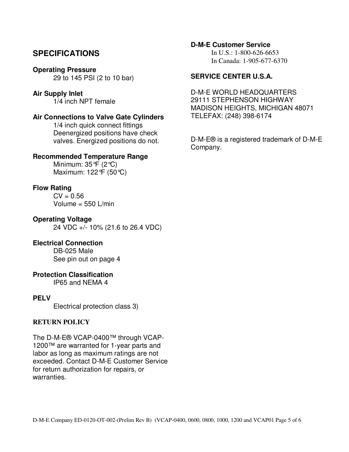#### **SPECIFICATIONS**

#### **Operating Pressure**

29 to 145 PSI (2 to 10 bar)

#### **Air Supply Inlet**

1/4 inch NPT female

#### **Air Connections to Valve Gate Cylinders**

 1/4 inch quick connect fittings Deenergized positions have check valves. Energized positions do not.

#### **Recommended Temperature Range**

 Minimum: 35°F (2°C) Maximum: 122°F (50°C)

#### **Flow Rating**

 $CV = 0.56$ Volume = 550 L/min

**Operating Voltage**  24 VDC +/- 10% (21.6 to 26.4 VDC)

#### **Electrical Connection**

 DB-025 Male See pin out on page 4

#### **Protection Classification**

IP65 and NEMA 4

#### **PELV**

Electrical protection class 3)

#### **RETURN POLICY**

The D-M-E® VCAP-0400™ through VCAP-1200™ are warranted for 1-year parts and labor as long as maximum ratings are not exceeded. Contact D-M-E Customer Service for return authorization for repairs, or warranties.

#### **D-M-E Customer Service**

 In U.S.: 1-800-626-6653 In Canada: 1-905-677-6370

#### **SERVICE CENTER U.S.A.**

D-M-E WORLD HEADQUARTERS 29111 STEPHENSON HIGHWAY MADISON HEIGHTS, MICHIGAN 48071 TELEFAX: (248) 398-6174

D-M-E® is a registered trademark of D-M-E Company.